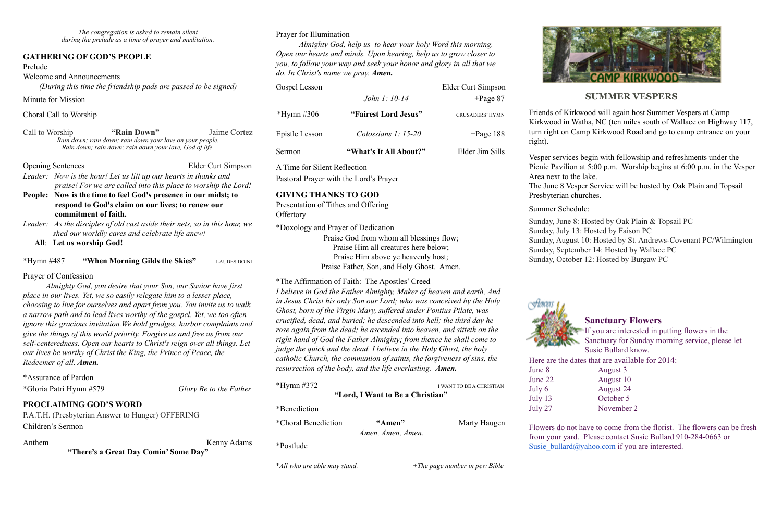*The congregation is asked to remain silent during the prelude as a time of prayer and meditation.*

## **GATHERING OF GOD'S PEOPLE**

### Prelude

Welcome and Announcements

*(During this time the friendship pads are passed to be signed)*

Minute for Mission

### Choral Call to Worship

Call to Worship **"Rain Down"** Jaime Cortez *Rain down; rain down; rain down your love on your people. Rain down; rain down; rain down your love, God of life.* 

Opening Sentences Elder Curt Simpson

*Leader: Now is the hour! Let us lift up our hearts in thanks and praise! For we are called into this place to worship the Lord!* 

**People: Now is the time to feel God's presence in our midst; to respond to God's claim on our lives; to renew our commitment of faith.** 

*Leader: As the disciples of old cast aside their nets, so in this hour, we shed our worldly cares and celebrate life anew!*

 **All**: **Let us worship God!**

\*Hymn #487 **"When Morning Gilds the Skies"** LAUDES DOINI

## Prayer of Confession

Presentation of Tithes and Offering **Offertory** 

*Almighty God, you desire that your Son, our Savior have first place in our lives. Yet, we so easily relegate him to a lesser place, choosing to live for ourselves and apart from you. You invite us to walk a narrow path and to lead lives worthy of the gospel. Yet, we too often ignore this gracious invitation.We hold grudges, harbor complaints and give the things of this world priority. Forgive us and free us from our self-centeredness. Open our hearts to Christ's reign over all things. Let our lives be worthy of Christ the King, the Prince of Peace, the Redeemer of all. Amen.*

\*Assurance of Pardon

\*Gloria Patri Hymn #579 *Glory Be to the Father* 

## **PROCLAIMING GOD'S WORD**

P.A.T.H. (Presbyterian Answer to Hunger) OFFERING Children's Sermon

### Anthem Kenny Adams

**"There's a Great Day Comin' Some Day"**

## Prayer for Illumination

*Almighty God, help us to hear your holy Word this morning. Open our hearts and minds. Upon hearing, help us to grow closer to you, to follow your way and seek your honor and glory in all that we do. In Christ's name we pray. Amen.*

| Gospel Lesson  |                        | Elder Curt Simpson     |
|----------------|------------------------|------------------------|
|                | John 1: 10-14          | $+$ Page 87            |
| *Hymn #306     | "Fairest Lord Jesus"   | <b>CRUSADERS' HYMN</b> |
| Epistle Lesson | Colossians $1: 15-20$  | $+$ Page 188           |
| Sermon         | "What's It All About?" | Elder Jim Sills        |

Flowers do not have to come from the florist. The flowers can be fresh from your yard. Please contact Susie Bullard 910-284-0663 or [Susie\\_bullard@yahoo.com](mailto:Susie_bullard@yahoo.com) if you are interested.

A Time for Silent Reflection

Pastoral Prayer with the Lord's Prayer

## **GIVING THANKS TO GOD**

\*Doxology and Prayer of Dedication Praise God from whom all blessings flow; Praise Him all creatures here below; Praise Him above ye heavenly host; Praise Father, Son, and Holy Ghost. Amen.

\*The Affirmation of Faith: The Apostles' Creed

*I believe in God the Father Almighty, Maker of heaven and earth, And in Jesus Christ his only Son our Lord; who was conceived by the Holy Ghost, born of the Virgin Mary, suffered under Pontius Pilate, was crucified, dead, and buried; he descended into hell; the third day he rose again from the dead; he ascended into heaven, and sitteth on the right hand of God the Father Almighty; from thence he shall come to judge the quick and the dead. I believe in the Holy Ghost, the holy catholic Church, the communion of saints, the forgiveness of sins, the resurrection of the body, and the life everlasting. Amen.*

| *Hymn $\#372$              |                                  | I WANT TO BE A CHRISTIAN |
|----------------------------|----------------------------------|--------------------------|
|                            | "Lord, I Want to Be a Christian" |                          |
| *Benediction               |                                  |                          |
| <i>*Choral Benediction</i> | "Amen"<br>Amen, Amen, Amen.      | Marty Haugen             |
| *Postlude                  |                                  |                          |



## **SUMMER VESPERS**

Friends of Kirkwood will again host Summer Vespers at Camp Kirkwood in Watha, NC (ten miles south of Wallace on Highway 117, turn right on Camp Kirkwood Road and go to camp entrance on your right).

Vesper services begin with fellowship and refreshments under the Picnic Pavilion at 5:00 p.m. Worship begins at 6:00 p.m. in the Vesper

Area next to the lake. Presbyterian churches.

The June 8 Vesper Service will be hosted by Oak Plain and Topsail

Summer Schedule:



Sunday, June 8: Hosted by Oak Plain & Topsail PC

Sunday, July 13: Hosted by Faison PC

Sunday, August 10: Hosted by St. Andrews-Covenant PC/Wilmington

Sunday, September 14: Hosted by Wallace PC

Sunday, October 12: Hosted by Burgaw PC

## **Sanctuary Flowers**

If you are interested in putting flowers in the Sanctuary for Sunday morning service, please let Susie Bullard know.

Here are the dates that are available for 2014:

June 8 August 3 June 22 August 10 July 6 August 24 July 13 October 5

July 27 November 2